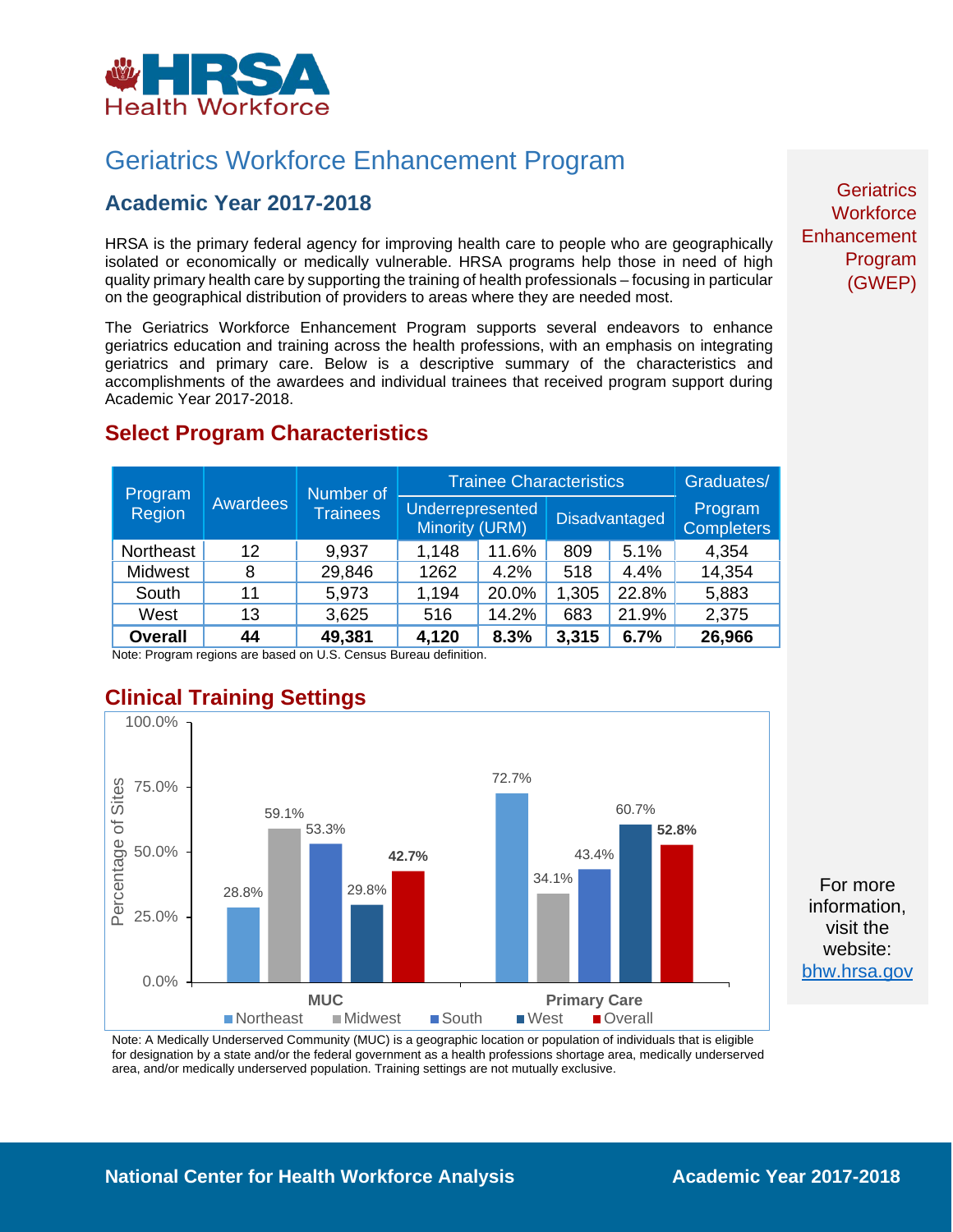

# Geriatrics Workforce Enhancement Program

### **Academic Year 2017-2018**

HRSA is the primary federal agency for improving health care to people who are geographically isolated or economically or medically vulnerable. HRSA programs help those in need of high quality primary health care by supporting the training of health professionals – focusing in particular on the geographical distribution of providers to areas where they are needed most.

The Geriatrics Workforce Enhancement Program supports several endeavors to enhance geriatrics education and training across the health professions, with an emphasis on integrating geriatrics and primary care. Below is a descriptive summary of the characteristics and accomplishments of the awardees and individual trainees that received program support during Academic Year 2017-2018.

| Program<br><b>Region</b> | Awardees | Number of<br><b>Trainees</b> | <b>Trainee Characteristics</b>     |       |       |                      | Graduates/                   |
|--------------------------|----------|------------------------------|------------------------------------|-------|-------|----------------------|------------------------------|
|                          |          |                              | Underrepresented<br>Minority (URM) |       |       | <b>Disadvantaged</b> | Program<br><b>Completers</b> |
| Northeast                | 12       | 9,937                        | 1,148                              | 11.6% | 809   | 5.1%                 | 4,354                        |
| Midwest                  | 8        | 29,846                       | 1262                               | 4.2%  | 518   | 4.4%                 | 14,354                       |
| South                    | 11       | 5,973                        | 1,194                              | 20.0% | 1,305 | 22.8%                | 5,883                        |
| West                     | 13       | 3,625                        | 516                                | 14.2% | 683   | 21.9%                | 2,375                        |
| <b>Overall</b>           | 44       | 49,381                       | 4,120                              | 8.3%  | 3,315 | 6.7%                 | 26,966                       |

### **Select Program Characteristics**

Note: Program regions are based on U.S. Census Bureau definition.

## **Clinical Training Settings**



For more information, visit the website: [bhw.hrsa.gov](http://bhw.hrsa.gov/)

Note: A Medically Underserved Community (MUC) is a geographic location or population of individuals that is eligible for designation by a state and/or the federal government as a health professions shortage area, medically underserved area, and/or medically underserved population. Training settings are not mutually exclusive.

**Geriatrics Workforce Enhancement** Program (GWEP)